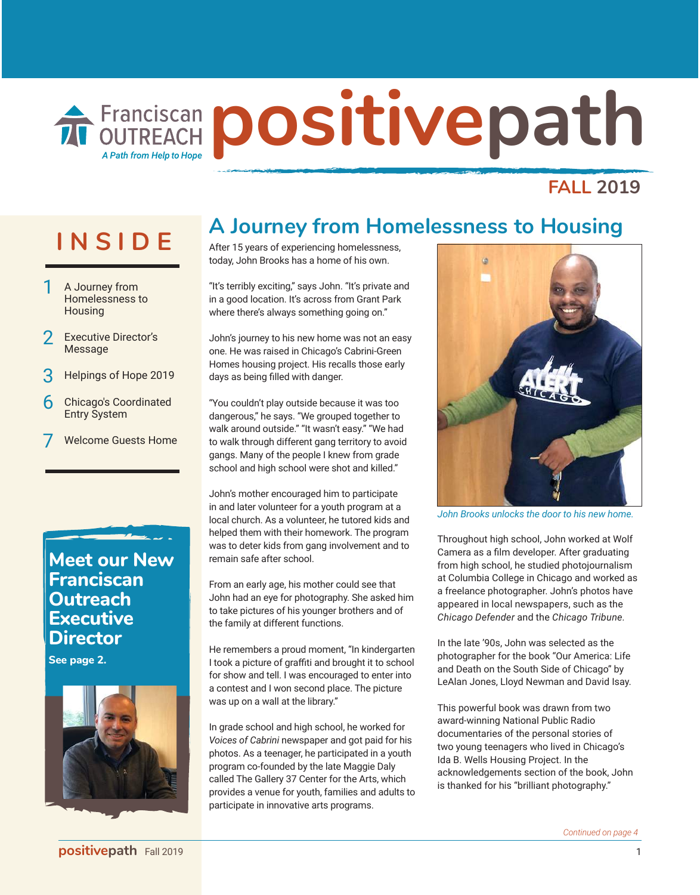# **Franciscan positivepath** A Path from Help to Hop

## **FALL 2019**

- A Journey from Homelessness to **Housing**
- **Executive Director's** Message
- 3 Helpings of Hope 2019
- **6** Chicago's Coordinated Entry System
- Welcome Guests Home

## **Meet our New Franciscan Outreach Executive Director**

**See page 2.**



# **INSIDE A Journey from Homelessness to Housing**

After 15 years of experiencing homelessness, today, John Brooks has a home of his own.

"It's terribly exciting," says John. "It's private and in a good location. It's across from Grant Park where there's always something going on."

John's journey to his new home was not an easy one. He was raised in Chicago's Cabrini-Green Homes housing project. His recalls those early days as being filled with danger.

"You couldn't play outside because it was too dangerous," he says. "We grouped together to walk around outside." "It wasn't easy." "We had to walk through different gang territory to avoid gangs. Many of the people I knew from grade school and high school were shot and killed."

John's mother encouraged him to participate in and later volunteer for a youth program at a local church. As a volunteer, he tutored kids and helped them with their homework. The program was to deter kids from gang involvement and to remain safe after school.

From an early age, his mother could see that John had an eye for photography. She asked him to take pictures of his younger brothers and of the family at different functions.

He remembers a proud moment, "In kindergarten I took a picture of graffiti and brought it to school for show and tell. I was encouraged to enter into a contest and I won second place. The picture was up on a wall at the library."

In grade school and high school, he worked for *Voices of Cabrini* newspaper and got paid for his photos. As a teenager, he participated in a youth program co-founded by the late Maggie Daly called The Gallery 37 Center for the Arts, which provides a venue for youth, families and adults to participate in innovative arts programs.



*John Brooks unlocks the door to his new home.*

Throughout high school, John worked at Wolf Camera as a film developer. After graduating from high school, he studied photojournalism at Columbia College in Chicago and worked as a freelance photographer. John's photos have appeared in local newspapers, such as the *Chicago Defender* and the *Chicago Tribune.* 

In the late '90s, John was selected as the photographer for the book "Our America: Life and Death on the South Side of Chicago" by LeAlan Jones, Lloyd Newman and David Isay.

This powerful book was drawn from two award-winning National Public Radio documentaries of the personal stories of two young teenagers who lived in Chicago's Ida B. Wells Housing Project. In the acknowledgements section of the book, John is thanked for his "brilliant photography."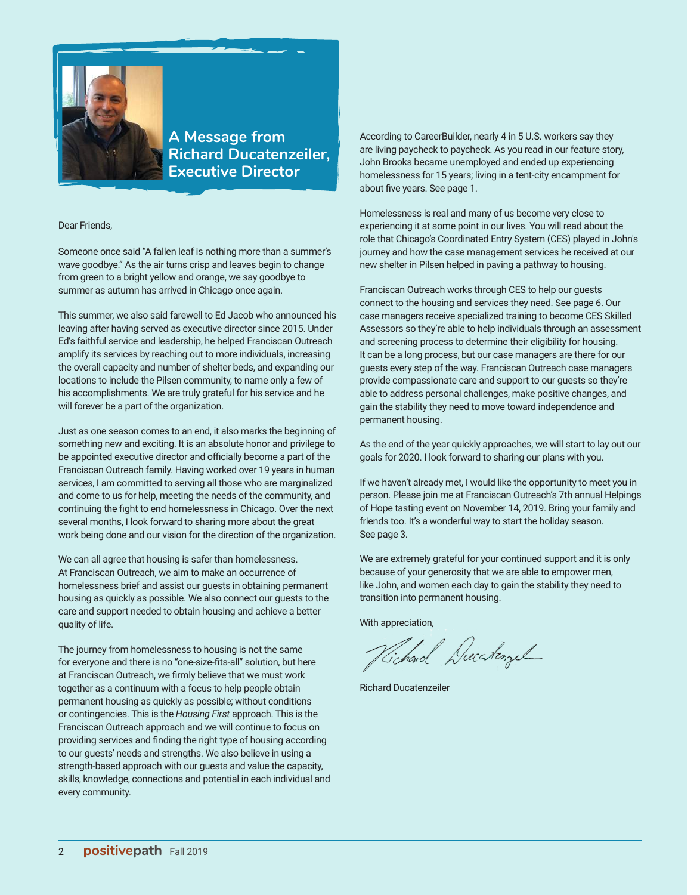

### **A Message from Richard Ducatenzeiler, Executive Director**

#### Dear Friends,

Someone once said "A fallen leaf is nothing more than a summer's wave goodbye." As the air turns crisp and leaves begin to change from green to a bright yellow and orange, we say goodbye to summer as autumn has arrived in Chicago once again.

This summer, we also said farewell to Ed Jacob who announced his leaving after having served as executive director since 2015. Under Ed's faithful service and leadership, he helped Franciscan Outreach amplify its services by reaching out to more individuals, increasing the overall capacity and number of shelter beds, and expanding our locations to include the Pilsen community, to name only a few of his accomplishments. We are truly grateful for his service and he will forever be a part of the organization.

Just as one season comes to an end, it also marks the beginning of something new and exciting. It is an absolute honor and privilege to be appointed executive director and officially become a part of the Franciscan Outreach family. Having worked over 19 years in human services, I am committed to serving all those who are marginalized and come to us for help, meeting the needs of the community, and continuing the fight to end homelessness in Chicago. Over the next several months, I look forward to sharing more about the great work being done and our vision for the direction of the organization.

We can all agree that housing is safer than homelessness. At Franciscan Outreach, we aim to make an occurrence of homelessness brief and assist our guests in obtaining permanent housing as quickly as possible. We also connect our guests to the care and support needed to obtain housing and achieve a better quality of life.

The journey from homelessness to housing is not the same for everyone and there is no "one-size-fits-all" solution, but here at Franciscan Outreach, we firmly believe that we must work together as a continuum with a focus to help people obtain permanent housing as quickly as possible; without conditions or contingencies. This is the *Housing First* approach. This is the Franciscan Outreach approach and we will continue to focus on providing services and finding the right type of housing according to our guests' needs and strengths. We also believe in using a strength-based approach with our guests and value the capacity, skills, knowledge, connections and potential in each individual and every community.

According to CareerBuilder, nearly 4 in 5 U.S. workers say they are living paycheck to paycheck. As you read in our feature story, John Brooks became unemployed and ended up experiencing homelessness for 15 years; living in a tent-city encampment for about five years. See page 1.

Homelessness is real and many of us become very close to experiencing it at some point in our lives. You will read about the role that Chicago's Coordinated Entry System (CES) played in John's journey and how the case management services he received at our new shelter in Pilsen helped in paving a pathway to housing.

Franciscan Outreach works through CES to help our guests connect to the housing and services they need. See page 6. Our case managers receive specialized training to become CES Skilled Assessors so they're able to help individuals through an assessment and screening process to determine their eligibility for housing. It can be a long process, but our case managers are there for our guests every step of the way. Franciscan Outreach case managers provide compassionate care and support to our guests so they're able to address personal challenges, make positive changes, and gain the stability they need to move toward independence and permanent housing.

As the end of the year quickly approaches, we will start to lay out our goals for 2020. I look forward to sharing our plans with you.

If we haven't already met, I would like the opportunity to meet you in person. Please join me at Franciscan Outreach's 7th annual Helpings of Hope tasting event on November 14, 2019. Bring your family and friends too. It's a wonderful way to start the holiday season. See page 3.

We are extremely grateful for your continued support and it is only because of your generosity that we are able to empower men, like John, and women each day to gain the stability they need to transition into permanent housing.

With appreciation,

Vichard Ducatingul

Richard Ducatenzeiler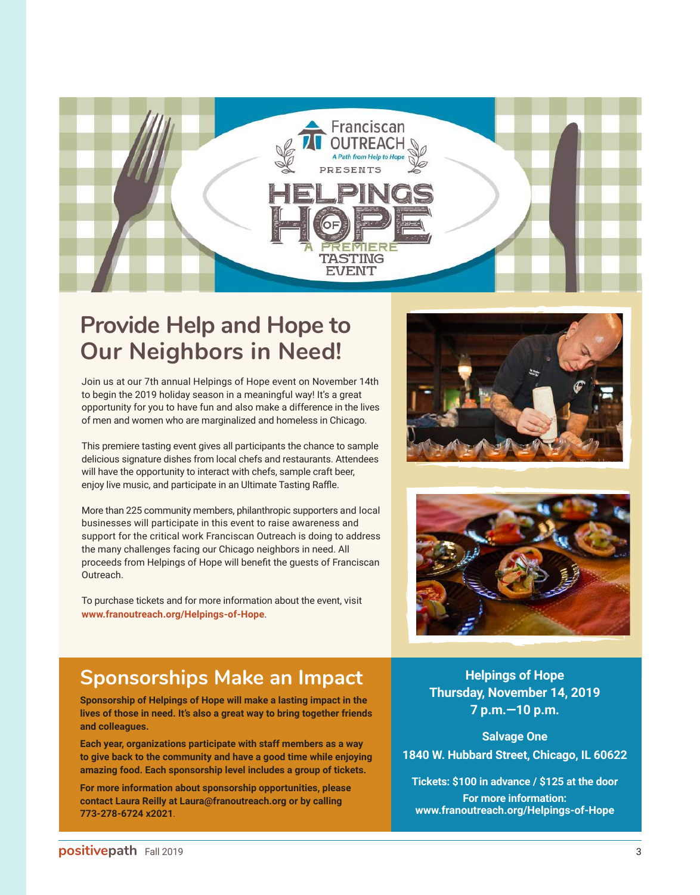

## **Provide Help and Hope to Our Neighbors in Need!**

Join us at our 7th annual Helpings of Hope event on November 14th to begin the 2019 holiday season in a meaningful way! It's a great opportunity for you to have fun and also make a difference in the lives of men and women who are marginalized and homeless in Chicago.

This premiere tasting event gives all participants the chance to sample delicious signature dishes from local chefs and restaurants. Attendees will have the opportunity to interact with chefs, sample craft beer, enjoy live music, and participate in an Ultimate Tasting Raffle.

More than 225 community members, philanthropic supporters and local businesses will participate in this event to raise awareness and support for the critical work Franciscan Outreach is doing to address the many challenges facing our Chicago neighbors in need. All proceeds from Helpings of Hope will benefit the guests of Franciscan Outreach.

To purchase tickets and for more information about the event, visit **www.franoutreach.org/Helpings-of-Hope**.





## **Sponsorships Make an Impact**

**Sponsorship of Helpings of Hope will make a lasting impact in the lives of those in need. It's also a great way to bring together friends and colleagues.** 

**Each year, organizations participate with staff members as a way to give back to the community and have a good time while enjoying amazing food. Each sponsorship level includes a group of tickets.**

**For more information about sponsorship opportunities, please contact Laura Reilly at Laura@franoutreach.org or by calling 773-278-6724 x2021**.

**Helpings of Hope Thursday, November 14, 2019 7 p.m.—10 p.m.**

**Salvage One 1840 W. Hubbard Street, Chicago, IL 60622**

**Tickets: \$100 in advance / \$125 at the door For more information: www.franoutreach.org/Helpings-of-Hope**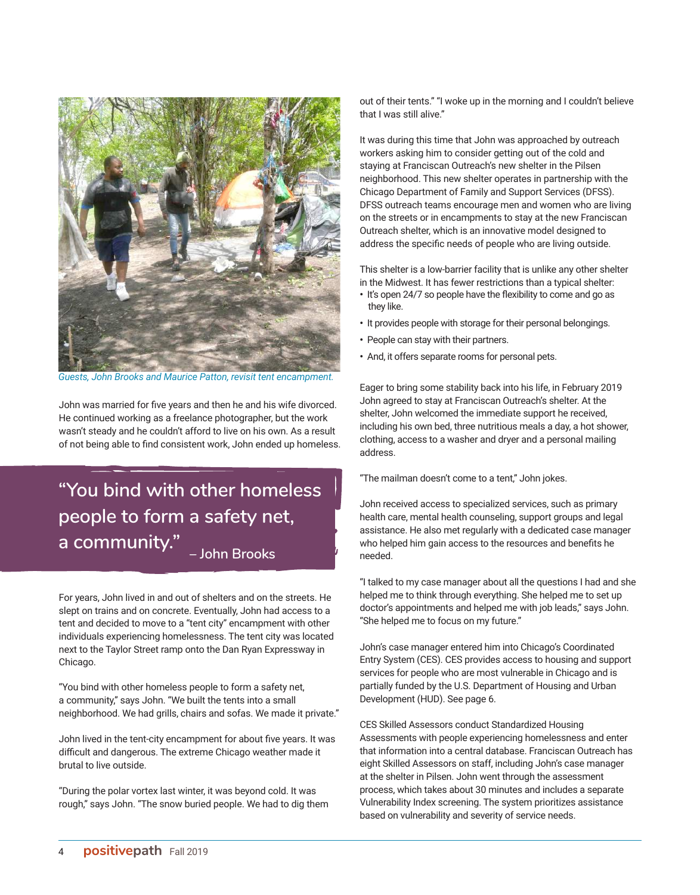

*Guests, John Brooks and Maurice Patton, revisit tent encampment.*

John was married for five years and then he and his wife divorced. He continued working as a freelance photographer, but the work wasn't steady and he couldn't afford to live on his own. As a result of not being able to find consistent work, John ended up homeless.

## **"You bind with other homeless people to form a safety net, a community." – John Brooks**

For years, John lived in and out of shelters and on the streets. He slept on trains and on concrete. Eventually, John had access to a tent and decided to move to a "tent city" encampment with other individuals experiencing homelessness. The tent city was located next to the Taylor Street ramp onto the Dan Ryan Expressway in Chicago.

"You bind with other homeless people to form a safety net, a community," says John. "We built the tents into a small neighborhood. We had grills, chairs and sofas. We made it private."

John lived in the tent-city encampment for about five years. It was difficult and dangerous. The extreme Chicago weather made it brutal to live outside.

"During the polar vortex last winter, it was beyond cold. It was rough," says John. "The snow buried people. We had to dig them out of their tents." "I woke up in the morning and I couldn't believe that I was still alive."

It was during this time that John was approached by outreach workers asking him to consider getting out of the cold and staying at Franciscan Outreach's new shelter in the Pilsen neighborhood. This new shelter operates in partnership with the Chicago Department of Family and Support Services (DFSS). DFSS outreach teams encourage men and women who are living on the streets or in encampments to stay at the new Franciscan Outreach shelter, which is an innovative model designed to address the specific needs of people who are living outside.

This shelter is a low-barrier facility that is unlike any other shelter in the Midwest. It has fewer restrictions than a typical shelter:

- **•** It's open 24/7 so people have the flexibility to come and go as they like.
- **•** It provides people with storage for their personal belongings.
- **•** People can stay with their partners.
- **•** And, it offers separate rooms for personal pets.

Eager to bring some stability back into his life, in February 2019 John agreed to stay at Franciscan Outreach's shelter. At the shelter, John welcomed the immediate support he received, including his own bed, three nutritious meals a day, a hot shower, clothing, access to a washer and dryer and a personal mailing address.

"The mailman doesn't come to a tent," John jokes.

John received access to specialized services, such as primary health care, mental health counseling, support groups and legal assistance. He also met regularly with a dedicated case manager who helped him gain access to the resources and benefits he needed.

"I talked to my case manager about all the questions I had and she helped me to think through everything. She helped me to set up doctor's appointments and helped me with job leads," says John. "She helped me to focus on my future."

John's case manager entered him into Chicago's Coordinated Entry System (CES). CES provides access to housing and support services for people who are most vulnerable in Chicago and is partially funded by the U.S. Department of Housing and Urban Development (HUD). See page 6.

CES Skilled Assessors conduct Standardized Housing Assessments with people experiencing homelessness and enter that information into a central database. Franciscan Outreach has eight Skilled Assessors on staff, including John's case manager at the shelter in Pilsen. John went through the assessment process, which takes about 30 minutes and includes a separate Vulnerability Index screening. The system prioritizes assistance based on vulnerability and severity of service needs.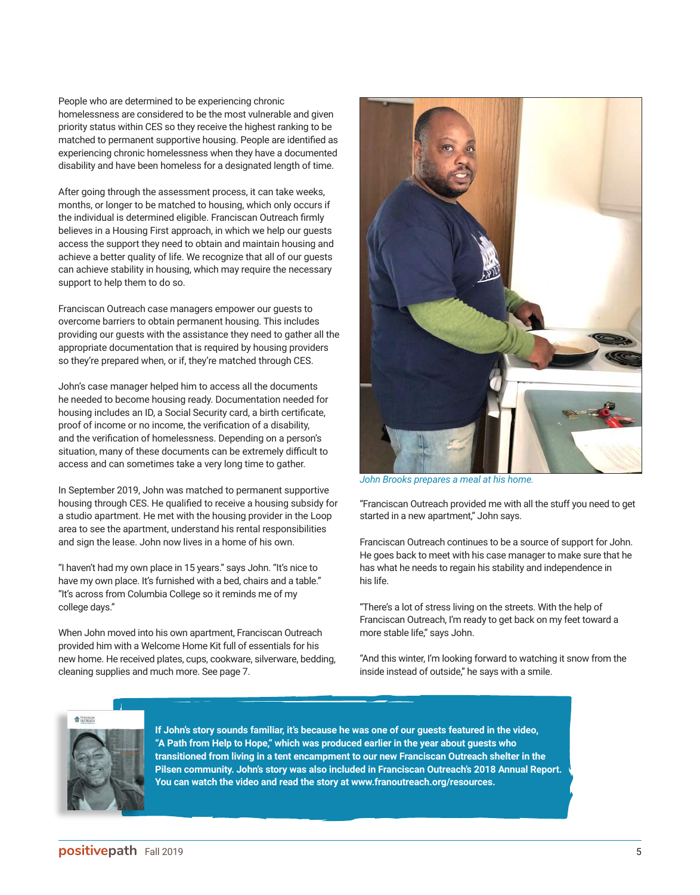People who are determined to be experiencing chronic homelessness are considered to be the most vulnerable and given priority status within CES so they receive the highest ranking to be matched to permanent supportive housing. People are identified as experiencing chronic homelessness when they have a documented disability and have been homeless for a designated length of time.

After going through the assessment process, it can take weeks, months, or longer to be matched to housing, which only occurs if the individual is determined eligible. Franciscan Outreach firmly believes in a Housing First approach, in which we help our guests access the support they need to obtain and maintain housing and achieve a better quality of life. We recognize that all of our guests can achieve stability in housing, which may require the necessary support to help them to do so.

Franciscan Outreach case managers empower our guests to overcome barriers to obtain permanent housing. This includes providing our guests with the assistance they need to gather all the appropriate documentation that is required by housing providers so they're prepared when, or if, they're matched through CES.

John's case manager helped him to access all the documents he needed to become housing ready. Documentation needed for housing includes an ID, a Social Security card, a birth certificate, proof of income or no income, the verification of a disability, and the verification of homelessness. Depending on a person's situation, many of these documents can be extremely difficult to access and can sometimes take a very long time to gather.

In September 2019, John was matched to permanent supportive housing through CES. He qualified to receive a housing subsidy for a studio apartment. He met with the housing provider in the Loop area to see the apartment, understand his rental responsibilities and sign the lease. John now lives in a home of his own.

"I haven't had my own place in 15 years." says John. "It's nice to have my own place. It's furnished with a bed, chairs and a table." "It's across from Columbia College so it reminds me of my college days."

When John moved into his own apartment, Franciscan Outreach provided him with a Welcome Home Kit full of essentials for his new home. He received plates, cups, cookware, silverware, bedding, cleaning supplies and much more. See page 7.



*John Brooks prepares a meal at his home.*

"Franciscan Outreach provided me with all the stuff you need to get started in a new apartment," John says.

Franciscan Outreach continues to be a source of support for John. He goes back to meet with his case manager to make sure that he has what he needs to regain his stability and independence in his life.

"There's a lot of stress living on the streets. With the help of Franciscan Outreach, I'm ready to get back on my feet toward a more stable life," says John.

"And this winter, I'm looking forward to watching it snow from the inside instead of outside," he says with a smile.



**If John's story sounds familiar, it's because he was one of our guests featured in the video, "A Path from Help to Hope," which was produced earlier in the year about guests who transitioned from living in a tent encampment to our new Franciscan Outreach shelter in the Pilsen community. John's story was also included in Franciscan Outreach's 2018 Annual Report. You can watch the video and read the story at www.franoutreach.org/resources.**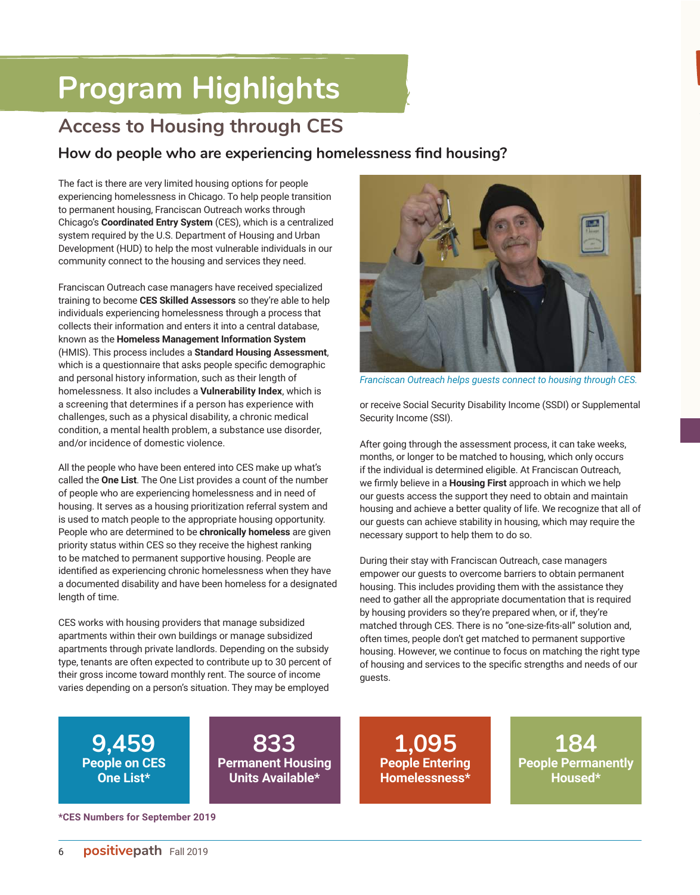# **Program Highlights Program Highlights**

## **Access to Housing through CES**

## **How do people who are experiencing homelessness find housing?**

The fact is there are very limited housing options for people experiencing homelessness in Chicago. To help people transition to permanent housing, Franciscan Outreach works through Chicago's **Coordinated Entry System** (CES), which is a centralized system required by the U.S. Department of Housing and Urban Development (HUD) to help the most vulnerable individuals in our community connect to the housing and services they need.

Franciscan Outreach case managers have received specialized training to become **CES Skilled Assessors** so they're able to help individuals experiencing homelessness through a process that collects their information and enters it into a central database, known as the **Homeless Management Information System**  (HMIS). This process includes a **Standard Housing Assessment**, which is a questionnaire that asks people specific demographic and personal history information, such as their length of homelessness. It also includes a **Vulnerability Index**, which is a screening that determines if a person has experience with challenges, such as a physical disability, a chronic medical condition, a mental health problem, a substance use disorder, and/or incidence of domestic violence.

All the people who have been entered into CES make up what's called the **One List**. The One List provides a count of the number of people who are experiencing homelessness and in need of housing. It serves as a housing prioritization referral system and is used to match people to the appropriate housing opportunity. People who are determined to be **chronically homeless** are given priority status within CES so they receive the highest ranking to be matched to permanent supportive housing. People are identified as experiencing chronic homelessness when they have a documented disability and have been homeless for a designated length of time.

CES works with housing providers that manage subsidized apartments within their own buildings or manage subsidized apartments through private landlords. Depending on the subsidy type, tenants are often expected to contribute up to 30 percent of their gross income toward monthly rent. The source of income varies depending on a person's situation. They may be employed



*Franciscan Outreach helps guests connect to housing through CES.*

or receive Social Security Disability Income (SSDI) or Supplemental Security Income (SSI).

After going through the assessment process, it can take weeks, months, or longer to be matched to housing, which only occurs if the individual is determined eligible. At Franciscan Outreach, we firmly believe in a **Housing First** approach in which we help our guests access the support they need to obtain and maintain housing and achieve a better quality of life. We recognize that all of our guests can achieve stability in housing, which may require the necessary support to help them to do so.

During their stay with Franciscan Outreach, case managers empower our guests to overcome barriers to obtain permanent housing. This includes providing them with the assistance they need to gather all the appropriate documentation that is required by housing providers so they're prepared when, or if, they're matched through CES. There is no "one-size-fits-all" solution and, often times, people don't get matched to permanent supportive housing. However, we continue to focus on matching the right type of housing and services to the specific strengths and needs of our guests.

**9,459 People on CES One List\***

**833 Permanent Housing Units Available\***

**1,095 People Entering Homelessness\***

**184 People Permanently Housed\***

**\*CES Numbers for September 2019**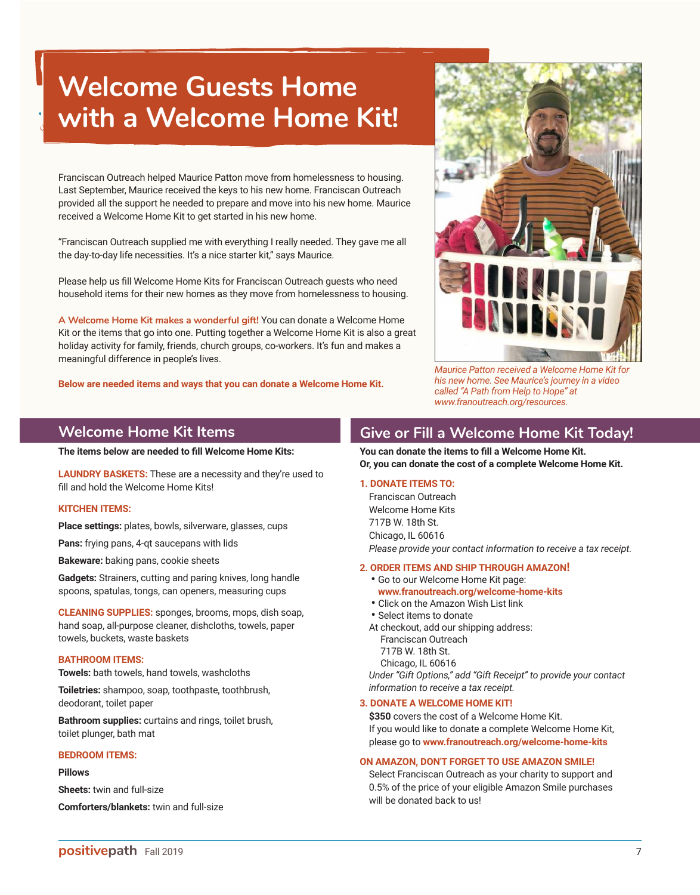## **Welcome Guests Home with a Welcome Home Kit!**

Franciscan Outreach helped Maurice Patton move from homelessness to housing. Last September, Maurice received the keys to his new home. Franciscan Outreach provided all the support he needed to prepare and move into his new home. Maurice received a Welcome Home Kit to get started in his new home.

"Franciscan Outreach supplied me with everything I really needed. They gave me all the day-to-day life necessities. It's a nice starter kit," says Maurice.

Please help us fill Welcome Home Kits for Franciscan Outreach guests who need household items for their new homes as they move from homelessness to housing.

**A Welcome Home Kit makes a wonderful gift!** You can donate a Welcome Home Kit or the items that go into one. Putting together a Welcome Home Kit is also a great holiday activity for family, friends, church groups, co-workers. It's fun and makes a meaningful difference in people's lives.

**Below are needed items and ways that you can donate a Welcome Home Kit.**



*Maurice Patton received a Welcome Home Kit for his new home. See Maurice's journey in a video called "A Path from Help to Hope" at www.franoutreach.org/resources.*

### **Welcome Home Kit Items**

**The items below are needed to fill Welcome Home Kits:**

**LAUNDRY BASKETS:** These are a necessity and they're used to fill and hold the Welcome Home Kits!

#### **KITCHEN ITEMS:**

**Place settings:** plates, bowls, silverware, glasses, cups

**Pans:** frying pans, 4-qt saucepans with lids

**Bakeware:** baking pans, cookie sheets

**Gadgets:** Strainers, cutting and paring knives, long handle spoons, spatulas, tongs, can openers, measuring cups

**CLEANING SUPPLIES:** sponges, brooms, mops, dish soap, hand soap, all-purpose cleaner, dishcloths, towels, paper towels, buckets, waste baskets

#### **BATHROOM ITEMS:**

**Towels:** bath towels, hand towels, washcloths

**Toiletries:** shampoo, soap, toothpaste, toothbrush, deodorant, toilet paper

**Bathroom supplies:** curtains and rings, toilet brush, toilet plunger, bath mat

#### **BEDROOM ITEMS:**

#### **Pillows**

**Sheets:** twin and full-size

**Comforters/blankets:** twin and full-size

### **Give or Fill a Welcome Home Kit Today!**

**You can donate the items to fill a Welcome Home Kit. Or, you can donate the cost of a complete Welcome Home Kit.**

#### **1. DONATE ITEMS TO:**

Franciscan Outreach Welcome Home Kits 717B W. 18th St. Chicago, IL 60616 *Please provide your contact information to receive a tax receipt.*

#### **2. ORDER ITEMS AND SHIP THROUGH AMAZON!**

- Go to our Welcome Home Kit page: **www.franoutreach.org/welcome-home-kits**
- Click on the Amazon Wish List link
- Select items to donate
- At checkout, add our shipping address: Franciscan Outreach 717B W. 18th St. Chicago, IL 60616

 *Under "Gift Options," add "Gift Receipt" to provide your contact information to receive a tax receipt.*

#### **3. DONATE A WELCOME HOME KIT!**

 **\$350** covers the cost of a Welcome Home Kit. If you would like to donate a complete Welcome Home Kit, please go to **www.franoutreach.org/welcome-home-kits**

#### **ON AMAZON, DON'T FORGET TO USE AMAZON SMILE!**

Select Franciscan Outreach as your charity to support and 0.5% of the price of your eligible Amazon Smile purchases will be donated back to us!